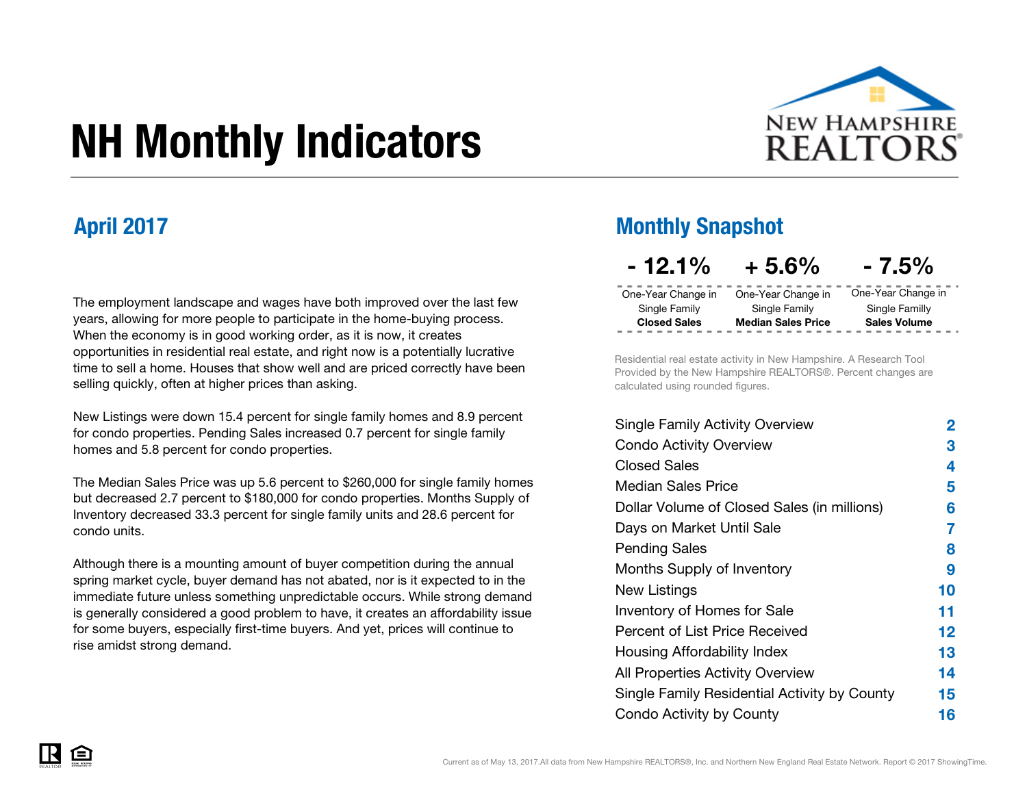

# NH Monthly Indicators

The employment landscape and wages have both improved over the last few years, allowing for more people to participate in the home-buying process. When the economy is in good working order, as it is now, it creates opportunities in residential real estate, and right now is a potentially lucrative time to sell a home. Houses that show well and are priced correctly have been selling quickly, often at higher prices than asking.

New Listings were down 15.4 percent for single family homes and 8.9 percent for condo properties. Pending Sales increased 0.7 percent for single family homes and 5.8 percent for condo properties.

The Median Sales Price was up 5.6 percent to \$260,000 for single family homes but decreased 2.7 percent to \$180,000 for condo properties. Months Supply of Inventory decreased 33.3 percent for single family units and 28.6 percent for condo units.

Although there is a mounting amount of buyer competition during the annual spring market cycle, buyer demand has not abated, nor is it expected to in the immediate future unless something unpredictable occurs. While strong demand is generally considered a good problem to have, it creates an affordability issue for some buyers, especially first-time buyers. And yet, prices will continue to rise amidst strong demand.

### April 2017 Monthly Snapshot

| $-12.1%$            | $+5.6%$                   | $-7.5\%$            |
|---------------------|---------------------------|---------------------|
| One-Year Change in  | One-Year Change in        | One-Year Change in  |
| Single Family       | Single Family             | Single Familly      |
| <b>Closed Sales</b> | <b>Median Sales Price</b> | <b>Sales Volume</b> |

Residential real estate activity in New Hampshire. A Research Tool Provided by the New Hampshire REALTORS®. Percent changes are calculated using rounded figures.

| Single Family Activity Overview              | 2  |
|----------------------------------------------|----|
| <b>Condo Activity Overview</b>               | 3  |
| <b>Closed Sales</b>                          | 4  |
| Median Sales Price                           | 5  |
| Dollar Volume of Closed Sales (in millions)  | 6  |
| Days on Market Until Sale                    | 7  |
| Pending Sales                                | 8  |
| Months Supply of Inventory                   | 9  |
| New Listings                                 | 10 |
| <b>Inventory of Homes for Sale</b>           | 11 |
| Percent of List Price Received               | 12 |
| Housing Affordability Index                  | 13 |
| All Properties Activity Overview             | 14 |
| Single Family Residential Activity by County | 15 |
| Condo Activity by County                     | 16 |

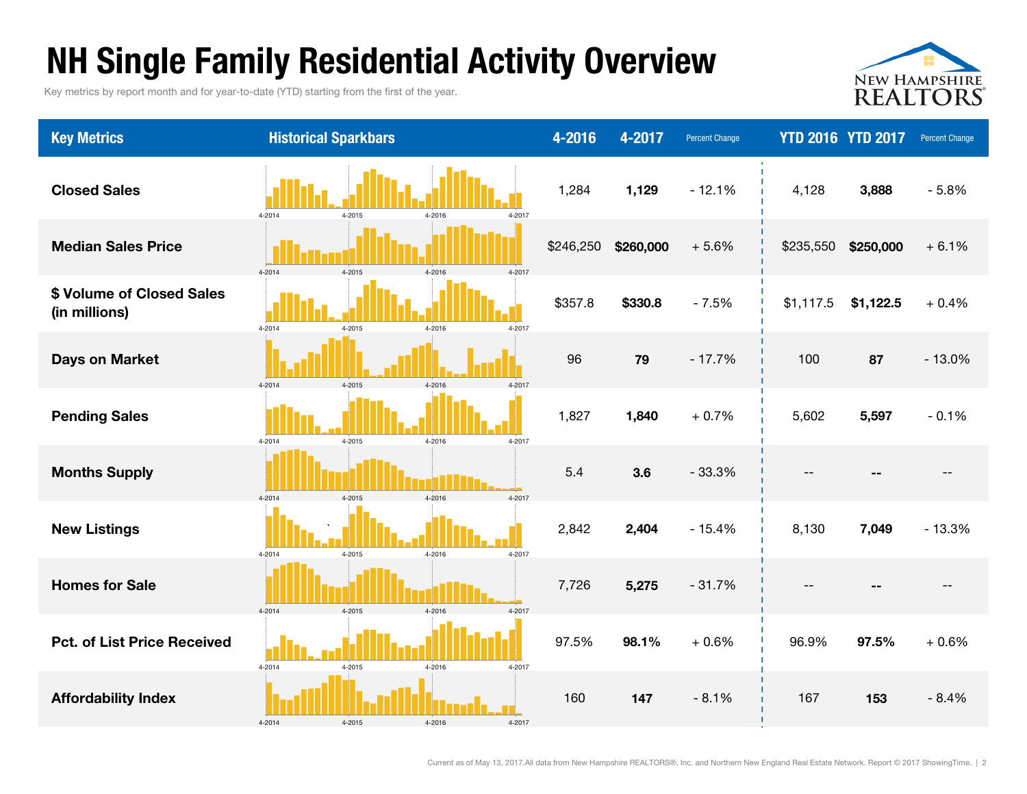### NH Single Family Residential Activity Overview

Key metrics by report month and for year-to-date (YTD) starting from the first of the year.



| <b>Key Metrics</b>                         | <b>Historical Sparkbars</b>                  | 4-2016    | 4-2017    | <b>Percent Change</b> |           | <b>YTD 2016 YTD 2017</b> | <b>Percent Change</b> |
|--------------------------------------------|----------------------------------------------|-----------|-----------|-----------------------|-----------|--------------------------|-----------------------|
| <b>Closed Sales</b>                        | 4-2014<br>4-2017<br>4-2015<br>4-2016         | 1,284     | 1,129     | $-12.1%$              | 4,128     | 3,888                    | $-5.8%$               |
| <b>Median Sales Price</b>                  | $4 - 2014$<br>4-2015<br>$4 - 2016$<br>4-2017 | \$246,250 | \$260,000 | $+5.6%$               | \$235,550 | \$250,000                | $+6.1%$               |
| \$ Volume of Closed Sales<br>(in millions) | 4-2014<br>4-2017<br>4-2015<br>4-2016         | \$357.8   | \$330.8   | $-7.5%$               | \$1,117.5 | \$1,122.5                | $+0.4%$               |
| <b>Days on Market</b>                      | 4-2014<br>4-2015<br>4-2016<br>$4 - 201$      | 96        | 79        | $-17.7%$              | 100       | 87                       | $-13.0%$              |
| <b>Pending Sales</b>                       | 4-2014<br>4-2015<br>4-2016<br>4-2017         | 1,827     | 1,840     | $+0.7%$               | 5,602     | 5,597                    | $-0.1%$               |
| <b>Months Supply</b>                       | 4-2014<br>4-2015<br>4-2016<br>4-2017         | 5.4       | 3.6       | $-33.3%$              | --        |                          |                       |
| <b>New Listings</b>                        | 4-2015<br>4-2016<br>4-2017<br>4-2014         | 2,842     | 2,404     | $-15.4%$              | 8,130     | 7,049                    | $-13.3%$              |
| <b>Homes for Sale</b>                      | 4-2014<br>4-2015<br>4-2016<br>4-2017         | 7,726     | 5,275     | $-31.7%$              |           |                          |                       |
| <b>Pct. of List Price Received</b>         | 4-2014<br>4-2015<br>4-2016<br>4-2017         | 97.5%     | 98.1%     | $+0.6%$               | 96.9%     | 97.5%                    | $+0.6%$               |
| <b>Affordability Index</b>                 | 4-2014<br>4-2015<br>4-2016<br>4-2017         | 160       | 147       | $-8.1%$               | 167       | 153                      | $-8.4%$               |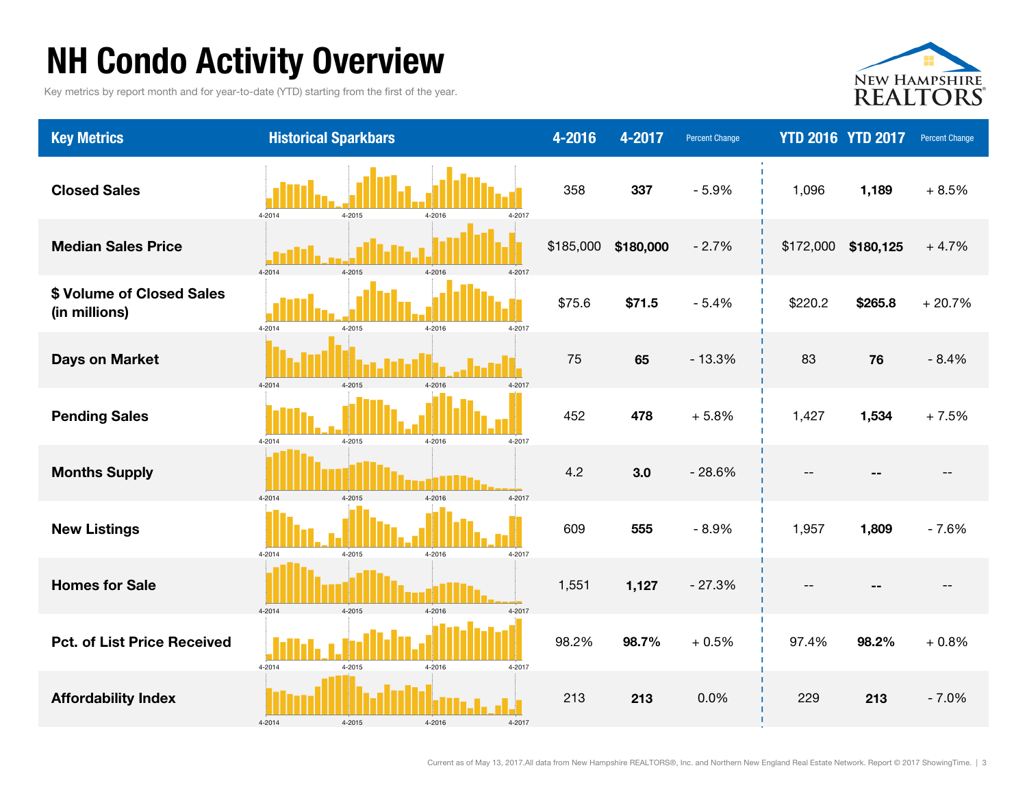## NH Condo Activity Overview

Key metrics by report month and for year-to-date (YTD) starting from the first of the year.



| <b>Key Metrics</b>                         | <b>Historical Sparkbars</b>                  | 4-2016    | 4-2017    | <b>Percent Change</b> |           | <b>YTD 2016 YTD 2017</b> | <b>Percent Change</b> |
|--------------------------------------------|----------------------------------------------|-----------|-----------|-----------------------|-----------|--------------------------|-----------------------|
| <b>Closed Sales</b>                        | 4-2014<br>4-2015<br>4-2016<br>4-2017         | 358       | 337       | $-5.9%$               | 1,096     | 1,189                    | $+8.5%$               |
| <b>Median Sales Price</b>                  | $4 - 2014$<br>$4 - 2015$<br>4-2016<br>4-2017 | \$185,000 | \$180,000 | $-2.7%$               | \$172,000 | \$180,125                | $+4.7%$               |
| \$ Volume of Closed Sales<br>(in millions) | 4-2014<br>4-2015<br>4-2016<br>4-2017         | \$75.6    | \$71.5    | $-5.4%$               | \$220.2   | \$265.8                  | $+20.7%$              |
| <b>Days on Market</b>                      | $4 - 2015$<br>4-2014<br>4-2016<br>$4 - 2017$ | 75        | 65        | $-13.3%$              | 83        | 76                       | $-8.4%$               |
| <b>Pending Sales</b>                       | 4-2014<br>4-2015<br>4-2016<br>4-2017         | 452       | 478       | $+5.8%$               | 1,427     | 1,534                    | $+7.5%$               |
| <b>Months Supply</b>                       | 4-2014<br>$4 - 2015$<br>4-2016<br>4-2017     | 4.2       | 3.0       | $-28.6%$              | $-$       |                          |                       |
| <b>New Listings</b>                        | $4 - 2015$<br>4-2016<br>4-2017<br>4-2014     | 609       | 555       | $-8.9%$               | 1,957     | 1,809                    | $-7.6%$               |
| <b>Homes for Sale</b>                      | 4-2014<br>$4 - 2015$<br>4-2016<br>4-2017     | 1,551     | 1,127     | $-27.3%$              |           |                          |                       |
| <b>Pct. of List Price Received</b>         | 4-2014<br>4-2015<br>4-2016<br>4-2017         | 98.2%     | 98.7%     | $+0.5%$               | 97.4%     | 98.2%                    | $+0.8%$               |
| <b>Affordability Index</b>                 | 4-2014<br>4-2015<br>4-2016<br>4-2017         | 213       | 213       | 0.0%                  | 229       | 213                      | $-7.0%$               |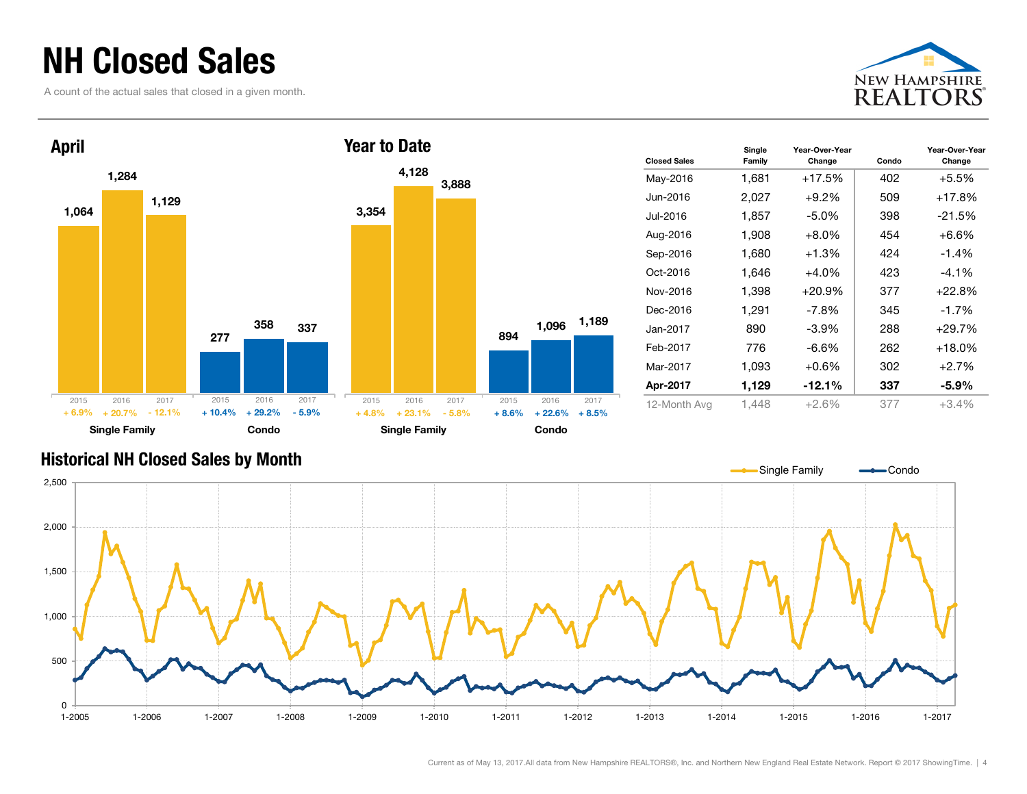### NH Closed Sales

A count of the actual sales that closed in a given month.





| <b>Closed Sales</b> | Single<br>Family | Year-Over-Year<br>Change | Condo | Year-Over-Year<br>Change |
|---------------------|------------------|--------------------------|-------|--------------------------|
| May-2016            | 1,681            | $+17.5%$                 | 402   | $+5.5%$                  |
| Jun-2016            | 2,027            | $+9.2%$                  | 509   | +17.8%                   |
| Jul-2016            | 1,857            | $-5.0\%$                 | 398   | $-21.5%$                 |
| Aug-2016            | 1.908            | $+8.0\%$                 | 454   | $+6.6%$                  |
| Sep-2016            | 1,680            | $+1.3%$                  | 424   | $-1.4%$                  |
| Oct-2016            | 1,646            | $+4.0%$                  | 423   | $-4.1%$                  |
| Nov-2016            | 1,398            | $+20.9%$                 | 377   | $+22.8%$                 |
| Dec-2016            | 1,291            | $-7.8\%$                 | 345   | $-1.7%$                  |
| Jan-2017            | 890              | $-3.9\%$                 | 288   | $+29.7%$                 |
| Feb-2017            | 776              | $-6.6\%$                 | 262   | $+18.0\%$                |
| Mar-2017            | 1,093            | $+0.6%$                  | 302   | $+2.7%$                  |
| Apr-2017            | 1,129            | $-12.1%$                 | 337   | $-5.9\%$                 |
| 12-Month Avg        | 1.448            | $+2.6%$                  | 377   | $+3.4%$                  |

#### Historical NH Closed Sales by Month



Current as of May 13, 2017.All data from New Hampshire REALTORS®, Inc. and Northern New England Real Estate Network. Report © 2017 ShowingTime. | 4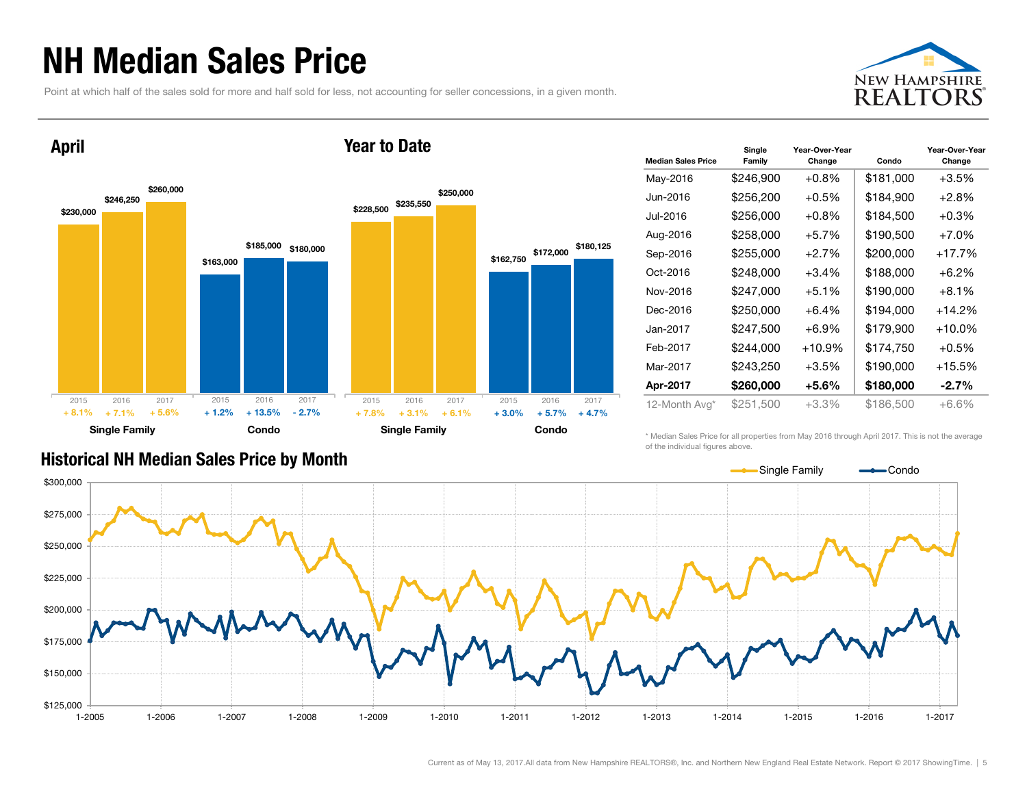### NH Median Sales Price

Point at which half of the sales sold for more and half sold for less, not accounting for seller concessions, in a given month.





| <b>Median Sales Price</b> | Single<br>Family | Year-Over-Year<br>Change | Condo     | Year-Over-Year<br>Change |
|---------------------------|------------------|--------------------------|-----------|--------------------------|
| May-2016                  | \$246,900        | $+0.8%$                  | \$181,000 | $+3.5%$                  |
| Jun-2016                  | \$256,200        | $+0.5%$                  | \$184,900 | $+2.8%$                  |
| Jul-2016                  | \$256,000        | $+0.8%$                  | \$184,500 | $+0.3%$                  |
| Aug-2016                  | \$258,000        | $+5.7%$                  | \$190,500 | $+7.0%$                  |
| Sep-2016                  | \$255,000        | $+2.7%$                  | \$200,000 | +17.7%                   |
| Oct-2016                  | \$248,000        | $+3.4%$                  | \$188,000 | $+6.2%$                  |
| Nov-2016                  | \$247,000        | $+5.1%$                  | \$190,000 | $+8.1\%$                 |
| Dec-2016                  | \$250,000        | $+6.4%$                  | \$194,000 | +14.2%                   |
| Jan-2017                  | \$247,500        | $+6.9%$                  | \$179,900 | $+10.0\%$                |
| Feb-2017                  | \$244,000        | $+10.9\%$                | \$174,750 | $+0.5%$                  |
| Mar-2017                  | \$243,250        | $+3.5%$                  | \$190,000 | +15.5%                   |
| Apr-2017                  | \$260,000        | $+5.6%$                  | \$180,000 | $-2.7\%$                 |
| 12-Month Avg*             | \$251,500        | +3.3%                    | \$186,500 | $+6.6%$                  |

#### Historical NH Median Sales Price by Month

\* Median Sales Price for all properties from May 2016 through April 2017. This is not the average of the individual figures above.



Current as of May 13, 2017.All data from New Hampshire REALTORS®, Inc. and Northern New England Real Estate Network. Report © 2017 ShowingTime. | 5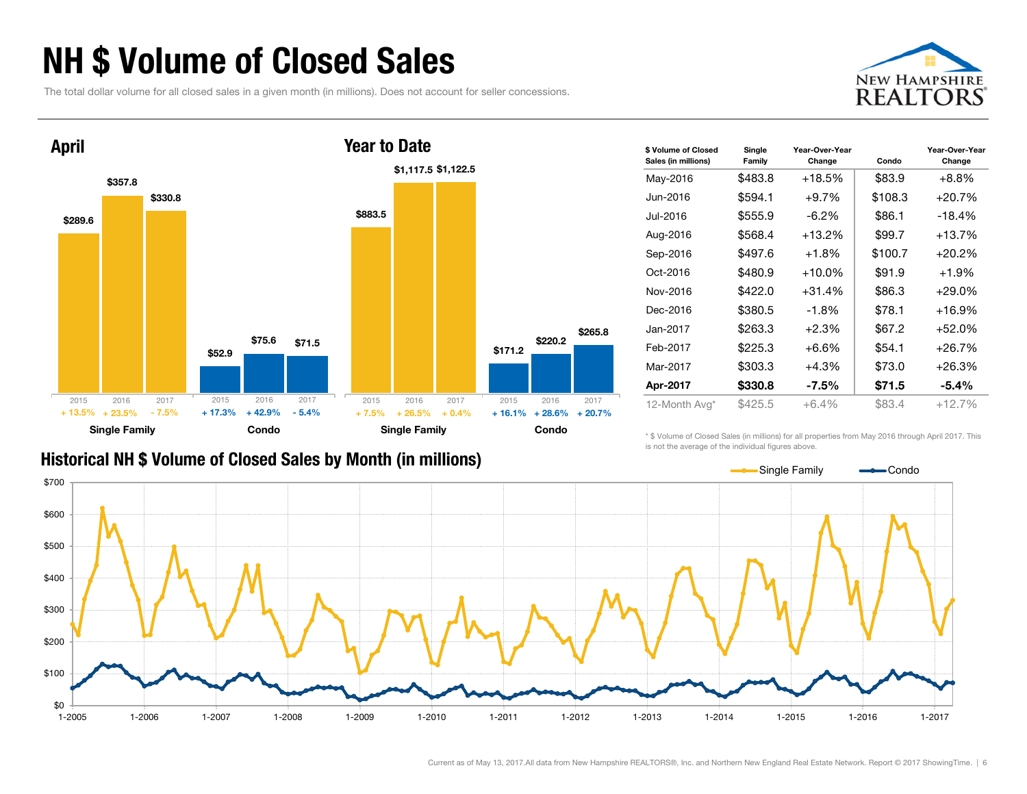### NH \$ Volume of Closed Sales

The total dollar volume for all closed sales in a given month (in millions). Does not account for seller concessions.





| \$ Volume of Closed<br>Sales (in millions) | Single<br>Family | Year-Over-Year<br>Change | Condo   | Year-Over-Year<br>Change |
|--------------------------------------------|------------------|--------------------------|---------|--------------------------|
| May-2016                                   | \$483.8          | $+18.5%$                 | \$83.9  | +8.8%                    |
| Jun-2016.                                  | \$594.1          | $+9.7\%$                 | \$108.3 | $+20.7%$                 |
| Jul-2016                                   | \$555.9          | -6.2%                    | \$86.1  | $-18.4%$                 |
| Aug-2016                                   | \$568.4          | $+13.2%$                 | \$99.7  | $+13.7%$                 |
| Sep-2016                                   | \$497.6          | $+1.8%$                  | \$100.7 | $+20.2%$                 |
| Oct-2016                                   | \$480.9          | $+10.0\%$                | \$91.9  | $+1.9%$                  |
| Nov-2016                                   | \$422.0          | $+31.4%$                 | \$86.3  | $+29.0%$                 |
| Dec-2016                                   | \$380.5          | $-1.8%$                  | \$78.1  | $+16.9%$                 |
| Jan-2017                                   | \$263.3          | $+2.3%$                  | \$67.2  | $+52.0%$                 |
| Feb-2017                                   | \$225.3          | $+6.6\%$                 | \$54.1  | $+26.7%$                 |
| Mar-2017                                   | \$303.3          | $+4.3%$                  | \$73.0  | $+26.3%$                 |
| Apr-2017                                   | \$330.8          | -7.5%                    | \$71.5  | $-5.4\%$                 |
| 12-Month Avg*                              | \$425.5          | $+6.4%$                  | \$83.4  | +12.7%                   |

#### Historical NH \$ Volume of Closed Sales by Month (in millions)

\* \$ Volume of Closed Sales (in millions) for all properties from May 2016 through April 2017. This is not the average of the individual figures above.

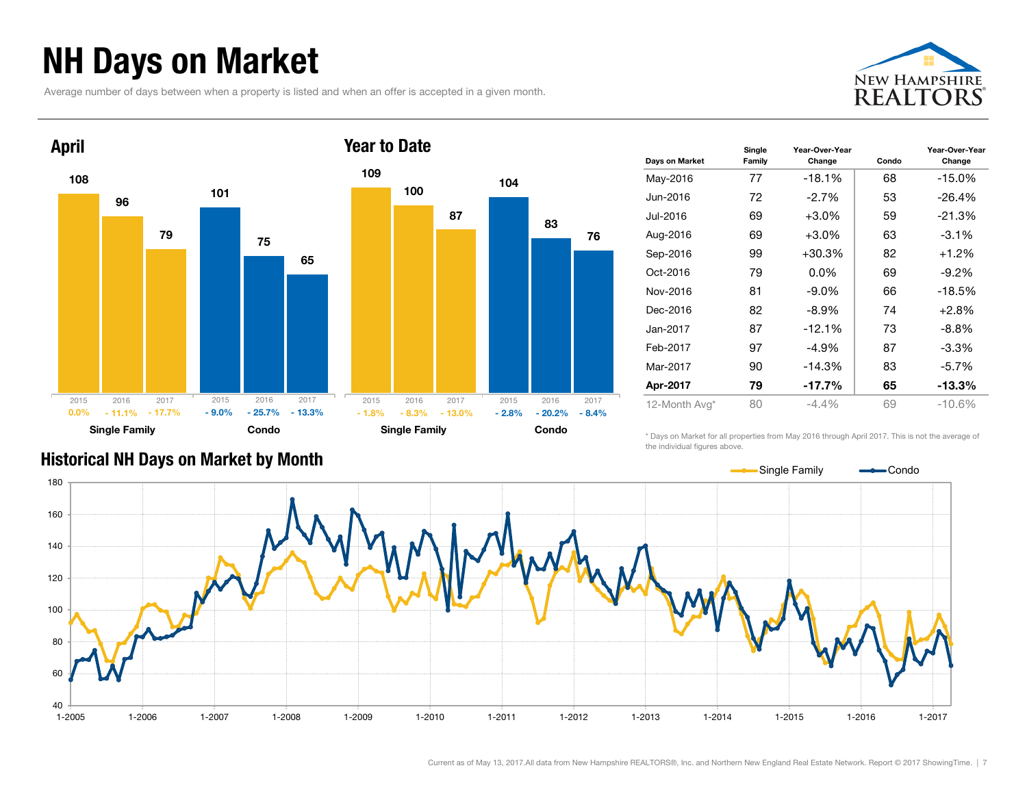### NH Days on Market

Average number of days between when a property is listed and when an offer is accepted in a given month.





| Days on Market | Single<br>Family | Year-Over-Year<br>Change | Condo | Year-Over-Year<br>Change |
|----------------|------------------|--------------------------|-------|--------------------------|
| May-2016       | 77               | $-18.1%$                 | 68    | $-15.0\%$                |
| Jun-2016       | 72               | $-2.7\%$                 | 53    | $-26.4%$                 |
| Jul-2016       | 69               | $+3.0\%$                 | 59    | $-21.3%$                 |
| Aug-2016       | 69               | $+3.0\%$                 | 63    | $-3.1\%$                 |
| Sep-2016       | 99               | $+30.3%$                 | 82    | $+1.2%$                  |
| Oct-2016       | 79               | $0.0\%$                  | 69    | $-9.2\%$                 |
| Nov-2016       | 81               | $-9.0\%$                 | 66    | $-18.5%$                 |
| Dec-2016       | 82               | $-8.9\%$                 | 74    | $+2.8%$                  |
| Jan-2017       | 87               | $-12.1%$                 | 73    | $-8.8\%$                 |
| Feb-2017       | 97               | -4.9%                    | 87    | $-3.3\%$                 |
| Mar-2017       | 90               | $-14.3%$                 | 83    | $-5.7%$                  |
| Apr-2017       | 79               | $-17.7%$                 | 65    | -13.3%                   |
| 12-Month Avg*  | 80               | $-4.4%$                  | 69    | $-10.6%$                 |

\* Days on Market for all properties from May 2016 through April 2017. This is not the average of the individual figures above.



#### Historical NH Days on Market by Month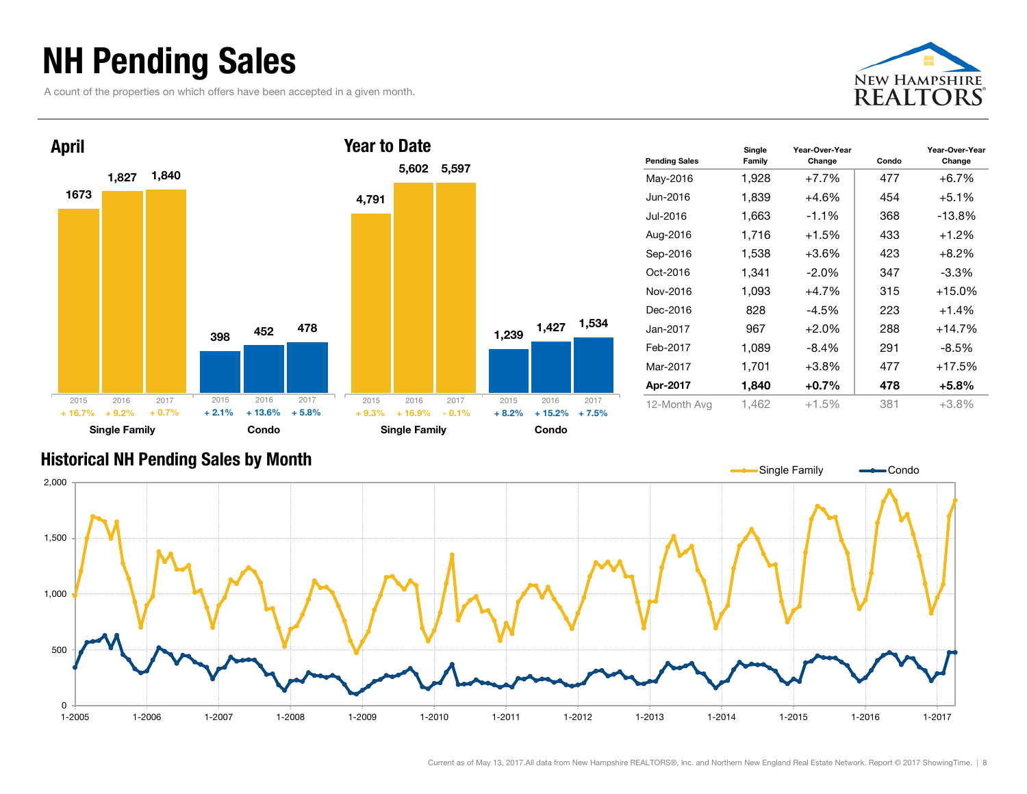### NH Pending Sales

A count of the properties on which offers have been accepted in a given month.





| <b>Pending Sales</b> | Single<br>Family | Year-Over-Year<br>Change | Condo | Year-Over-Year<br>Change |
|----------------------|------------------|--------------------------|-------|--------------------------|
| May-2016             | 1,928            | $+7.7%$                  | 477   | $+6.7%$                  |
| Jun-2016             | 1,839            | $+4.6%$                  | 454   | $+5.1\%$                 |
| Jul-2016             | 1,663            | $-1.1%$                  | 368   | $-13.8%$                 |
| Aug-2016             | 1,716            | $+1.5%$                  | 433   | $+1.2%$                  |
| Sep-2016             | 1,538            | $+3.6\%$                 | 423   | $+8.2\%$                 |
| Oct-2016             | 1,341            | $-2.0\%$                 | 347   | $-3.3\%$                 |
| Nov-2016             | 1,093            | $+4.7%$                  | 315   | $+15.0%$                 |
| Dec-2016             | 828              | $-4.5%$                  | 223   | $+1.4%$                  |
| Jan-2017             | 967              | $+2.0%$                  | 288   | $+14.7%$                 |
| Feb-2017             | 1,089            | -8.4%                    | 291   | $-8.5\%$                 |
| Mar-2017             | 1,701            | $+3.8%$                  | 477   | $+17.5%$                 |
| Apr-2017             | 1,840            | $+0.7%$                  | 478   | $+5.8%$                  |
| 12-Month Avg         | 1.462            | $+1.5%$                  | 381   | $+3.8\%$                 |

#### Historical NH Pending Sales by Month

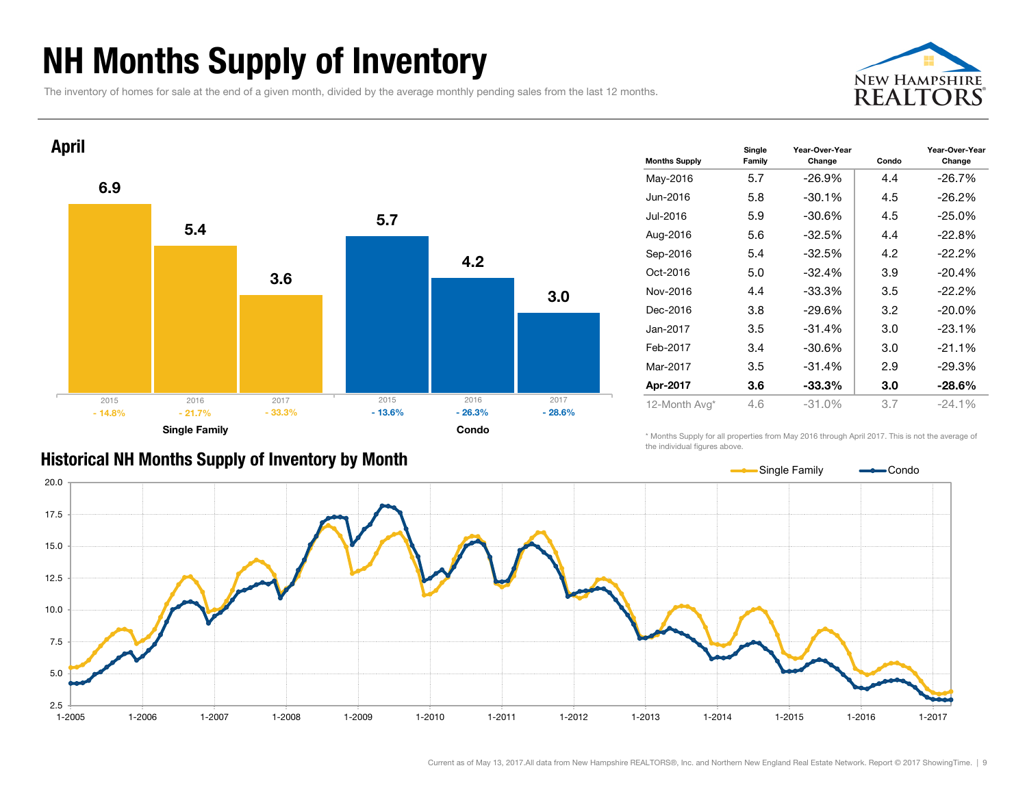### NH Months Supply of Inventory

The inventory of homes for sale at the end of a given month, divided by the average monthly pending sales from the last 12 months.





| <b>Months Supply</b> | Single<br>Family | Year-Over-Year<br>Change | Condo | Year-Over-Year<br>Change |
|----------------------|------------------|--------------------------|-------|--------------------------|
| May-2016             | 5.7              | $-26.9%$                 | 4.4   | $-26.7%$                 |
| Jun-2016             | 5.8              | $-30.1%$                 | 4.5   | $-26.2\%$                |
| Jul-2016             | 5.9              | $-30.6%$                 | 4.5   | $-25.0%$                 |
| Aug-2016             | 5.6              | $-32.5\%$                | 4.4   | $-22.8%$                 |
| Sep-2016             | 5.4              | $-32.5%$                 | 4.2   | $-22.2%$                 |
| Oct-2016             | 5.0              | $-32.4%$                 | 3.9   | $-20.4%$                 |
| Nov-2016             | 4.4              | -33.3%                   | 3.5   | $-22.2%$                 |
| Dec-2016             | 3.8              | $-29.6\%$                | 3.2   | $-20.0\%$                |
| Jan-2017.            | 3.5              | $-31.4%$                 | 3.0   | $-23.1%$                 |
| Feb-2017             | 3.4              | -30.6%                   | 3.0   | $-21.1%$                 |
| Mar-2017             | 3.5              | $-31.4%$                 | 2.9   | $-29.3%$                 |
| Apr-2017             | 3.6              | $-33.3%$                 | 3.0   | $-28.6\%$                |
| 12-Month Avg*        | 4.6              | $-31.0%$                 | 3.7   | $-24.1%$                 |

\* Months Supply for all properties from May 2016 through April 2017. This is not the average of the individual figures above.

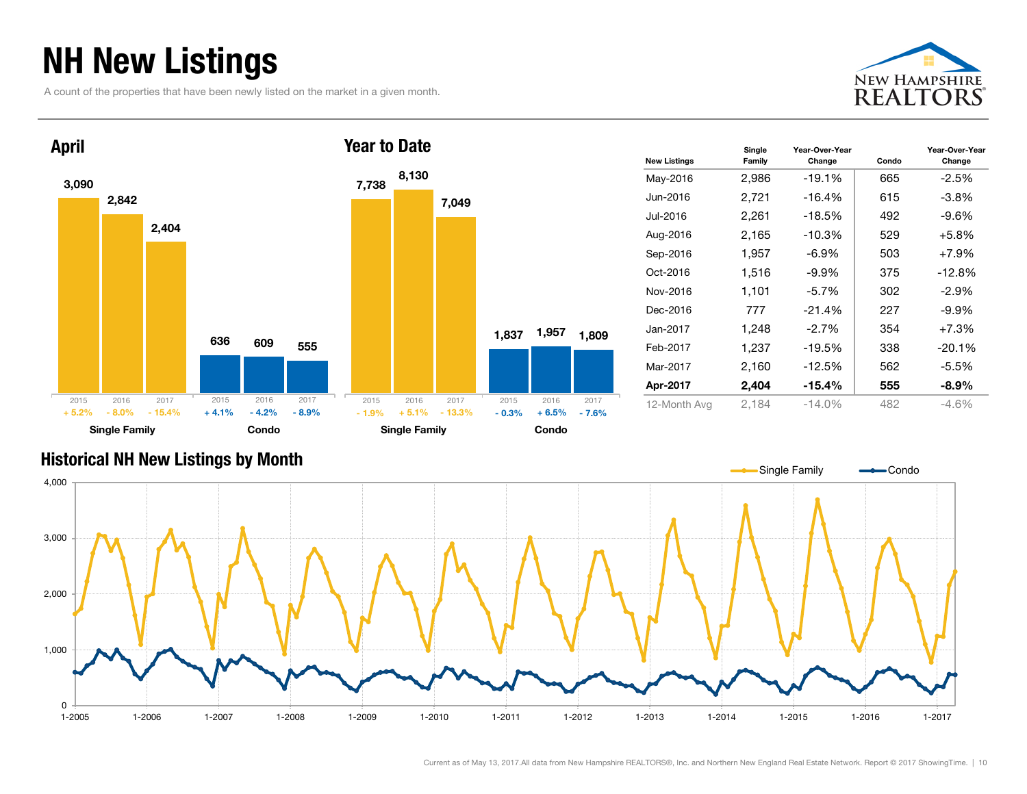### NH New Listings

A count of the properties that have been newly listed on the market in a given month.





| <b>New Listings</b> | Single<br>Family | Year-Over-Year<br>Change | Condo | Year-Over-Year<br>Change |
|---------------------|------------------|--------------------------|-------|--------------------------|
| May-2016            | 2,986            | -19.1%                   | 665   | $-2.5%$                  |
| Jun-2016            | 2,721            | -16.4%                   | 615   | $-3.8%$                  |
| Jul-2016            | 2,261            | $-18.5%$                 | 492   | $-9.6\%$                 |
| Aug-2016            | 2,165            | $-10.3%$                 | 529   | $+5.8%$                  |
| Sep-2016            | 1,957            | $-6.9\%$                 | 503   | $+7.9%$                  |
| Oct-2016            | 1,516            | $-9.9%$                  | 375   | $-12.8%$                 |
| Nov-2016            | 1,101            | $-5.7\%$                 | 302   | $-2.9\%$                 |
| Dec-2016            | 777              | $-21.4%$                 | 227   | -9.9%                    |
| Jan-2017            | 1,248            | $-2.7%$                  | 354   | $+7.3%$                  |
| Feb-2017            | 1,237            | $-19.5%$                 | 338   | $-20.1%$                 |
| Mar-2017            | 2,160            | $-12.5%$                 | 562   | $-5.5%$                  |
| Apr-2017            | 2,404            | $-15.4\%$                | 555   | $-8.9\%$                 |
| 12-Month Avg        | 2,184            | $-14.0\%$                | 482   | $-4.6%$                  |

#### Historical NH New Listings by Month

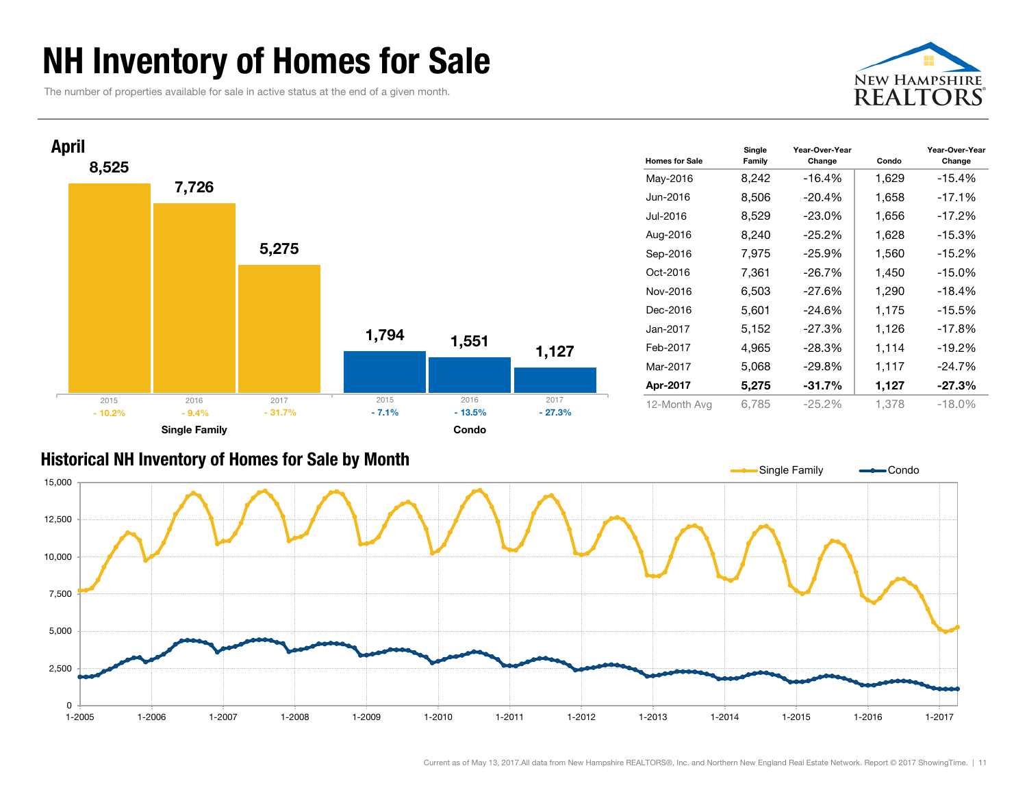### NH Inventory of Homes for Sale

The number of properties available for sale in active status at the end of a given month.





| <b>Homes for Sale</b> | Single<br>Family | Year-Over-Year<br>Change | Condo | Year-Over-Year<br>Change |
|-----------------------|------------------|--------------------------|-------|--------------------------|
| May-2016              | 8,242            | $-16.4%$                 | 1,629 | $-15.4%$                 |
| Jun-2016              | 8,506            | $-20.4\%$                | 1,658 | $-17.1%$                 |
| Jul-2016              | 8,529            | $-23.0%$                 | 1,656 | $-17.2%$                 |
| Aug-2016              | 8,240            | $-25.2%$                 | 1,628 | $-15.3%$                 |
| Sep-2016              | 7,975            | $-25.9%$                 | 1,560 | $-15.2%$                 |
| Oct-2016              | 7,361            | $-26.7%$                 | 1,450 | $-15.0\%$                |
| Nov-2016              | 6,503            | $-27.6%$                 | 1,290 | $-18.4%$                 |
| Dec-2016              | 5,601            | $-24.6%$                 | 1,175 | $-15.5%$                 |
| Jan-2017              | 5,152            | $-27.3%$                 | 1,126 | $-17.8%$                 |
| Feb-2017              | 4,965            | $-28.3%$                 | 1,114 | $-19.2%$                 |
| Mar-2017              | 5,068            | $-29.8%$                 | 1,117 | $-24.7%$                 |
| Apr-2017              | 5,275            | $-31.7%$                 | 1,127 | $-27.3%$                 |
| 12-Month Avg          | 6,785            | $-25.2%$                 | 1,378 | $-18.0\%$                |

#### Historical NH Inventory of Homes for Sale by Month

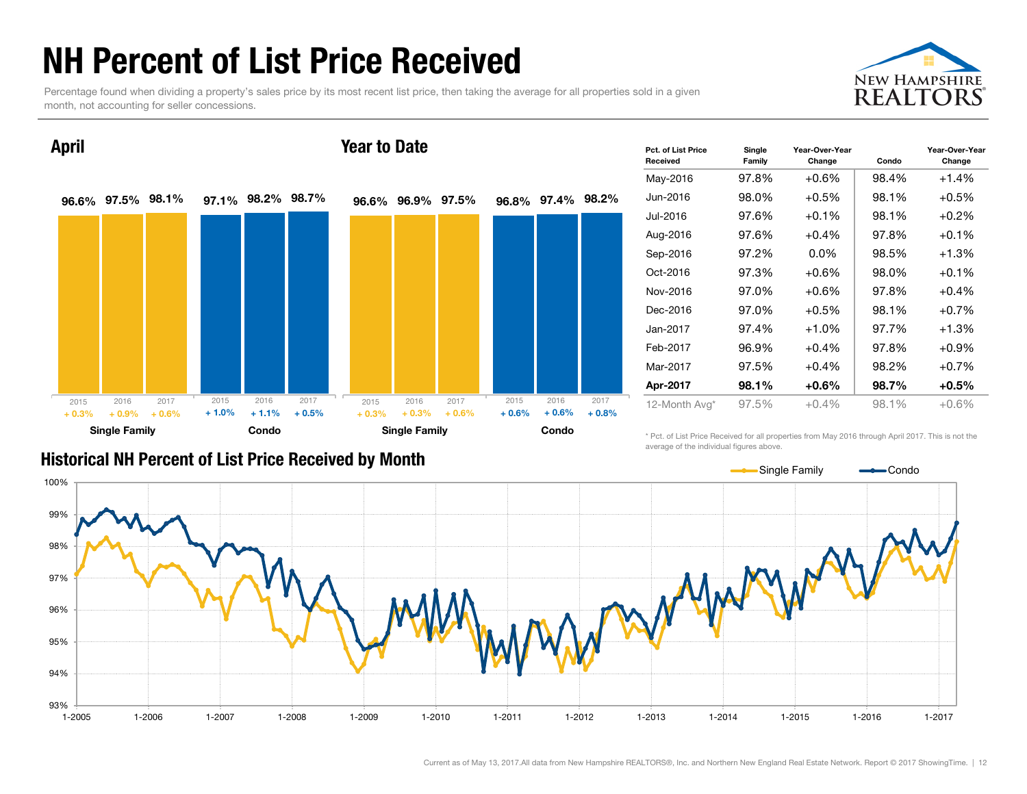### NH Percent of List Price Received

Percentage found when dividing a property's sales price by its most recent list price, then taking the average for all properties sold in a given month, not accounting for seller concessions.



96.6% 97.5% 98.1% 97.1% 98.2% 98.7% Single Family **Condo** April 2015 2016 2017  $+0.3\%$   $+0.9\%$   $+0.6\%$   $+1.0\%$   $+1.1\%$   $+0.5\%$ 2015 2016 2017 96.6% 96.9% 97.5% 96.8% 97.4% 98.2% Single Family **Condo** Year to Date  $+ 0.3\% + 0.3\% + 0.6\% + 0.6\% + 0.6\% + 0.8\%$ 2015 2016 2017 2015 2016 2017

| Pct. of List Price<br>Received | Single<br>Family | Year-Over-Year<br>Change | Condo | Year-Over-Year<br>Change |  |  |  |
|--------------------------------|------------------|--------------------------|-------|--------------------------|--|--|--|
| May-2016                       | 97.8%            | $+0.6%$                  | 98.4% | $+1.4%$                  |  |  |  |
| Jun-2016                       | 98.0%            | $+0.5%$                  | 98.1% | $+0.5%$                  |  |  |  |
| Jul-2016                       | 97.6%            | $+0.1\%$                 | 98.1% | $+0.2%$                  |  |  |  |
| Aug-2016                       | 97.6%            | $+0.4%$                  | 97.8% | $+0.1%$                  |  |  |  |
| Sep-2016                       | 97.2%            | $0.0\%$                  | 98.5% | $+1.3%$                  |  |  |  |
| Oct-2016                       | 97.3%            | $+0.6%$                  | 98.0% | $+0.1%$                  |  |  |  |
| Nov-2016                       | 97.0%            | $+0.6%$                  | 97.8% | $+0.4%$                  |  |  |  |
| Dec-2016                       | 97.0%            | $+0.5%$                  | 98.1% | $+0.7%$                  |  |  |  |
| Jan-2017                       | 97.4%            | $+1.0%$                  | 97.7% | $+1.3%$                  |  |  |  |
| Feb-2017                       | 96.9%            | $+0.4%$                  | 97.8% | $+0.9\%$                 |  |  |  |
| Mar-2017                       | 97.5%            | $+0.4%$                  | 98.2% | $+0.7%$                  |  |  |  |
| Apr-2017                       | 98.1%            | $+0.6\%$                 | 98.7% | $+0.5%$                  |  |  |  |
| 12-Month Avg*                  | 97.5%            | $+0.4%$                  | 98.1% | $+0.6%$                  |  |  |  |

#### Historical NH Percent of List Price Received by Month

\* Pct. of List Price Received for all properties from May 2016 through April 2017. This is not the average of the individual figures above.

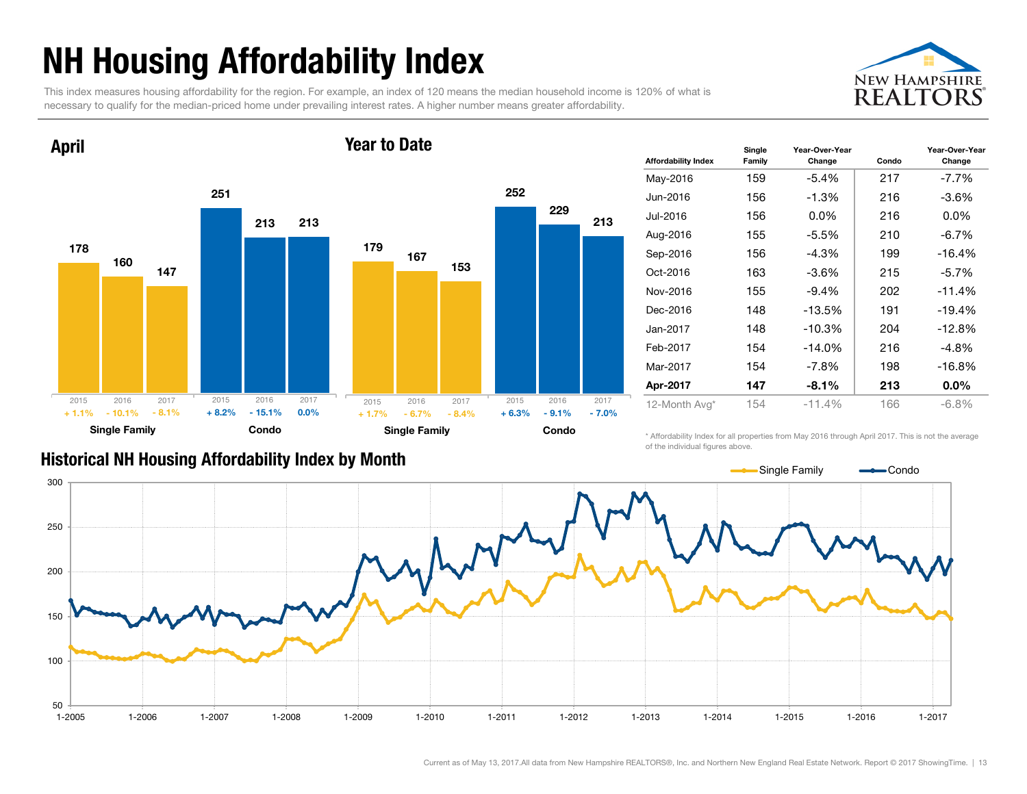## NH Housing Affordability Index

This index measures housing affordability for the region. For example, an index of 120 means the median household income is 120% of what is necessary to qualify for the median-priced home under prevailing interest rates. A higher number means greater affordability.





| <b>Affordability Index</b> | Single<br>Family | Year-Over-Year<br>Change | Condo | Year-Over-Year<br>Change |
|----------------------------|------------------|--------------------------|-------|--------------------------|
| May-2016                   | 159              | $-5.4\%$                 | 217   | $-7.7\%$                 |
| Jun-2016                   | 156              | $-1.3%$                  | 216   | $-3.6\%$                 |
| Jul-2016                   | 156              | $0.0\%$                  | 216   | $0.0\%$                  |
| Aug-2016                   | 155              | $-5.5%$                  | 210   | $-6.7%$                  |
| Sep-2016                   | 156              | $-4.3\%$                 | 199   | $-16.4%$                 |
| Oct-2016                   | 163              | $-3.6\%$                 | 215   | $-5.7\%$                 |
| Nov-2016                   | 155              | $-9.4%$                  | 202   | $-11.4%$                 |
| Dec-2016                   | 148              | $-13.5%$                 | 191   | $-19.4%$                 |
| Jan-2017                   | 148              | $-10.3%$                 | 204   | $-12.8%$                 |
| Feb-2017                   | 154              | $-14.0\%$                | 216   | $-4.8%$                  |
| Mar-2017                   | 154              | $-7.8\%$                 | 198   | $-16.8%$                 |
| Apr-2017                   | 147              | $-8.1%$                  | 213   | $0.0\%$                  |
| 12-Month Avg*              | 154              | $-11.4%$                 | 166   | $-6.8%$                  |

#### Historical NH Housing Affordability Index by Month

\* Affordability Index for all properties from May 2016 through April 2017. This is not the average of the individual figures above.

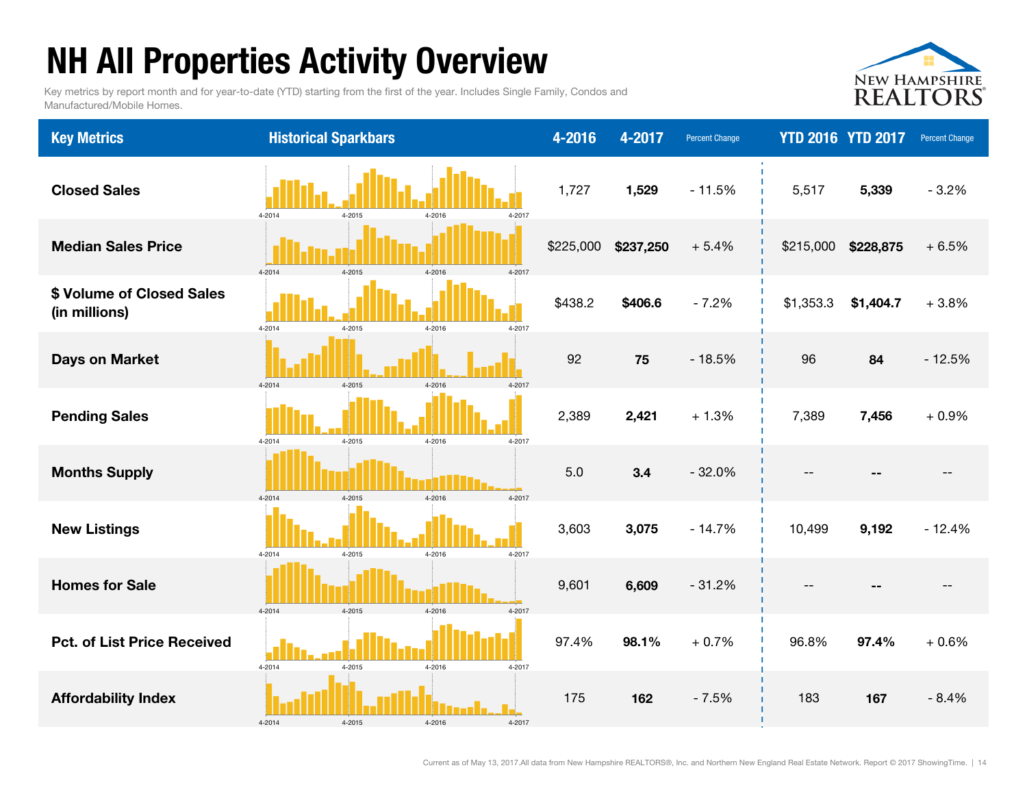## NH All Properties Activity Overview

Key metrics by report month and for year-to-date (YTD) starting from the first of the year. Includes Single Family, Condos and Manufactured/Mobile Homes.



| <b>Key Metrics</b>                         | <b>Historical Sparkbars</b>              | 4-2016    | 4-2017    | <b>Percent Change</b> | <b>YTD 2016 YTD 2017</b> |           | Percent Change |
|--------------------------------------------|------------------------------------------|-----------|-----------|-----------------------|--------------------------|-----------|----------------|
| <b>Closed Sales</b>                        | 4-2014<br>4-2015<br>4-2016<br>4-2017     | 1,727     | 1,529     | $-11.5%$              | 5,517                    | 5,339     | $-3.2%$        |
| <b>Median Sales Price</b>                  | 4-2014<br>4-2015<br>4-2016<br>4-2017     | \$225,000 | \$237,250 | $+5.4%$               | \$215,000                | \$228,875 | $+6.5%$        |
| \$ Volume of Closed Sales<br>(in millions) | 4-2014<br>4-2017<br>4-2015<br>4-2016     | \$438.2   | \$406.6   | $-7.2%$               | \$1,353.3                | \$1,404.7 | $+3.8%$        |
| <b>Days on Market</b>                      | 4-2014<br>4-2015<br>4-2016<br>4-2017     | 92        | 75        | $-18.5%$              | 96                       | 84        | $-12.5%$       |
| <b>Pending Sales</b>                       | $4 - 2015$<br>4-2016<br>4-2017<br>4-2014 | 2,389     | 2,421     | $+1.3%$               | 7,389                    | 7,456     | $+0.9%$        |
| <b>Months Supply</b>                       | 4-2017<br>4-2014<br>4-2015<br>4-2016     | 5.0       | 3.4       | $-32.0%$              |                          |           |                |
| <b>New Listings</b>                        | 4-2015<br>4-2016<br>4-2017<br>4-2014     | 3,603     | 3,075     | $-14.7%$              | 10,499                   | 9,192     | $-12.4%$       |
| <b>Homes for Sale</b>                      | 4-2014<br>4-2015<br>4-2016<br>4-2017     | 9,601     | 6,609     | $-31.2%$              |                          |           |                |
| <b>Pct. of List Price Received</b>         | 4-2014<br>4-2015<br>4-2016<br>4-2017     | 97.4%     | 98.1%     | $+0.7%$               | 96.8%                    | 97.4%     | $+0.6%$        |
| <b>Affordability Index</b>                 | 4-2014<br>4-2015<br>4-2016<br>4-2017     | 175       | 162       | $-7.5%$               | 183                      | 167       | $-8.4%$        |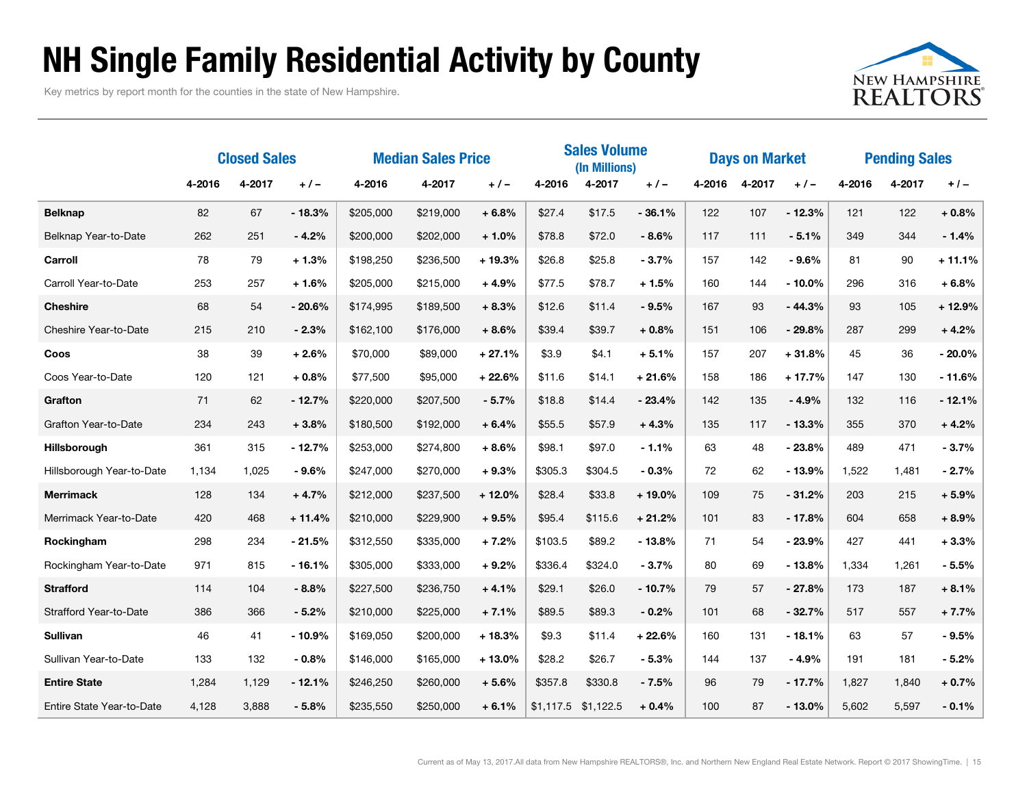### NH Single Family Residential Activity by County

Key metrics by report month for the counties in the state of New Hampshire.



|                           | <b>Closed Sales</b> |        |          | <b>Median Sales Price</b> |           |          | <b>Sales Volume</b><br>(In Millions) |                       |          | <b>Days on Market</b> |        |          | <b>Pending Sales</b> |        |          |
|---------------------------|---------------------|--------|----------|---------------------------|-----------|----------|--------------------------------------|-----------------------|----------|-----------------------|--------|----------|----------------------|--------|----------|
|                           | 4-2016              | 4-2017 | $+/-$    | 4-2016                    | 4-2017    | $+/-$    | 4-2016                               | 4-2017                | $+/-$    | 4-2016                | 4-2017 | $+/-$    | 4-2016               | 4-2017 | $+/-$    |
| <b>Belknap</b>            | 82                  | 67     | $-18.3%$ | \$205,000                 | \$219,000 | $+6.8%$  | \$27.4                               | \$17.5                | $-36.1%$ | 122                   | 107    | $-12.3%$ | 121                  | 122    | $+0.8%$  |
| Belknap Year-to-Date      | 262                 | 251    | $-4.2%$  | \$200,000                 | \$202,000 | $+1.0%$  | \$78.8                               | \$72.0                | $-8.6%$  | 117                   | 111    | $-5.1%$  | 349                  | 344    | $-1.4%$  |
| Carroll                   | 78                  | 79     | $+1.3%$  | \$198,250                 | \$236,500 | $+19.3%$ | \$26.8                               | \$25.8                | $-3.7%$  | 157                   | 142    | $-9.6%$  | 81                   | 90     | $+11.1%$ |
| Carroll Year-to-Date      | 253                 | 257    | $+1.6%$  | \$205,000                 | \$215,000 | $+4.9%$  | \$77.5                               | \$78.7                | $+1.5%$  | 160                   | 144    | $-10.0%$ | 296                  | 316    | $+6.8%$  |
| <b>Cheshire</b>           | 68                  | 54     | $-20.6%$ | \$174,995                 | \$189,500 | $+8.3%$  | \$12.6                               | \$11.4                | $-9.5%$  | 167                   | 93     | $-44.3%$ | 93                   | 105    | $+12.9%$ |
| Cheshire Year-to-Date     | 215                 | 210    | $-2.3%$  | \$162,100                 | \$176,000 | $+8.6%$  | \$39.4                               | \$39.7                | $+0.8%$  | 151                   | 106    | $-29.8%$ | 287                  | 299    | $+4.2%$  |
| Coos                      | 38                  | 39     | $+2.6%$  | \$70,000                  | \$89,000  | $+27.1%$ | \$3.9                                | \$4.1                 | $+5.1%$  | 157                   | 207    | $+31.8%$ | 45                   | 36     | $-20.0%$ |
| Coos Year-to-Date         | 120                 | 121    | $+0.8%$  | \$77,500                  | \$95,000  | $+22.6%$ | \$11.6                               | \$14.1                | $+21.6%$ | 158                   | 186    | $+17.7%$ | 147                  | 130    | $-11.6%$ |
| Grafton                   | 71                  | 62     | $-12.7%$ | \$220,000                 | \$207,500 | $-5.7%$  | \$18.8                               | \$14.4                | $-23.4%$ | 142                   | 135    | $-4.9%$  | 132                  | 116    | $-12.1%$ |
| Grafton Year-to-Date      | 234                 | 243    | $+3.8%$  | \$180,500                 | \$192,000 | $+6.4%$  | \$55.5                               | \$57.9                | $+4.3%$  | 135                   | 117    | $-13.3%$ | 355                  | 370    | $+4.2%$  |
| Hillsborough              | 361                 | 315    | $-12.7%$ | \$253,000                 | \$274,800 | $+8.6%$  | \$98.1                               | \$97.0                | $-1.1%$  | 63                    | 48     | $-23.8%$ | 489                  | 471    | $-3.7%$  |
| Hillsborough Year-to-Date | 1,134               | 1,025  | - 9.6%   | \$247,000                 | \$270,000 | $+9.3%$  | \$305.3                              | \$304.5               | $-0.3%$  | 72                    | 62     | $-13.9%$ | 1,522                | 1,481  | $-2.7%$  |
| <b>Merrimack</b>          | 128                 | 134    | $+4.7%$  | \$212,000                 | \$237,500 | $+12.0%$ | \$28.4                               | \$33.8                | $+19.0%$ | 109                   | 75     | $-31.2%$ | 203                  | 215    | $+5.9%$  |
| Merrimack Year-to-Date    | 420                 | 468    | $+11.4%$ | \$210,000                 | \$229,900 | $+9.5%$  | \$95.4                               | \$115.6               | $+21.2%$ | 101                   | 83     | $-17.8%$ | 604                  | 658    | $+8.9%$  |
| Rockingham                | 298                 | 234    | $-21.5%$ | \$312,550                 | \$335,000 | $+7.2%$  | \$103.5                              | \$89.2                | $-13.8%$ | 71                    | 54     | $-23.9%$ | 427                  | 441    | $+3.3%$  |
| Rockingham Year-to-Date   | 971                 | 815    | $-16.1%$ | \$305,000                 | \$333,000 | $+9.2%$  | \$336.4                              | \$324.0               | $-3.7%$  | 80                    | 69     | $-13.8%$ | 1,334                | 1,261  | $-5.5%$  |
| <b>Strafford</b>          | 114                 | 104    | $-8.8%$  | \$227,500                 | \$236,750 | $+4.1%$  | \$29.1                               | \$26.0                | $-10.7%$ | 79                    | 57     | $-27.8%$ | 173                  | 187    | $+8.1%$  |
| Strafford Year-to-Date    | 386                 | 366    | $-5.2%$  | \$210,000                 | \$225,000 | $+7.1%$  | \$89.5                               | \$89.3                | $-0.2%$  | 101                   | 68     | $-32.7%$ | 517                  | 557    | $+7.7%$  |
| <b>Sullivan</b>           | 46                  | 41     | $-10.9%$ | \$169,050                 | \$200,000 | $+18.3%$ | \$9.3                                | \$11.4                | $+22.6%$ | 160                   | 131    | $-18.1%$ | 63                   | 57     | $-9.5%$  |
| Sullivan Year-to-Date     | 133                 | 132    | $-0.8%$  | \$146,000                 | \$165,000 | $+13.0%$ | \$28.2                               | \$26.7                | $-5.3%$  | 144                   | 137    | $-4.9%$  | 191                  | 181    | $-5.2%$  |
| <b>Entire State</b>       | 1,284               | 1,129  | $-12.1%$ | \$246,250                 | \$260,000 | $+5.6%$  | \$357.8                              | \$330.8               | $-7.5%$  | 96                    | 79     | $-17.7%$ | 1,827                | 1,840  | $+0.7%$  |
| Entire State Year-to-Date | 4,128               | 3,888  | $-5.8%$  | \$235,550                 | \$250,000 | $+6.1%$  |                                      | $$1,117.5$ $$1,122.5$ | $+0.4%$  | 100                   | 87     | $-13.0%$ | 5,602                | 5,597  | $-0.1%$  |